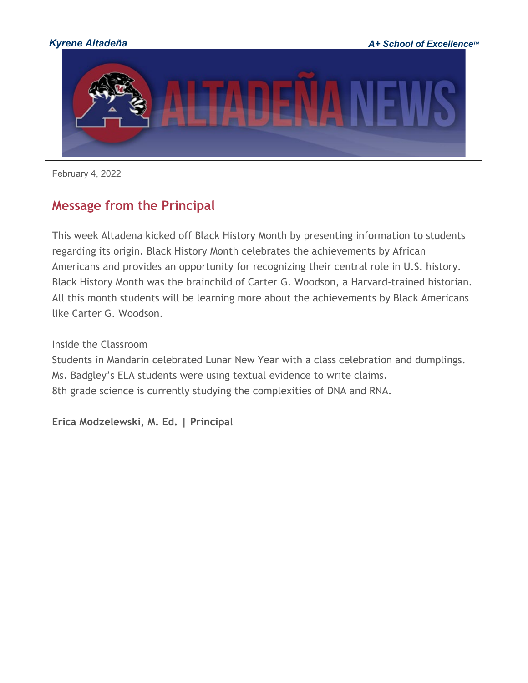

February 4, 2022

## **Message from the Principal**

This week Altadena kicked off Black History Month by presenting information to students regarding its origin. Black History Month celebrates the achievements by African Americans and provides an opportunity for recognizing their central role in U.S. history. Black History Month was the brainchild of Carter G. Woodson, a Harvard-trained historian. All this month students will be learning more about the achievements by Black Americans like Carter G. Woodson.

Inside the Classroom

Students in Mandarin celebrated Lunar New Year with a class celebration and dumplings. Ms. Badgley's ELA students were using textual evidence to write claims. 8th grade science is currently studying the complexities of DNA and RNA.

**Erica Modzelewski, M. Ed. | Principal**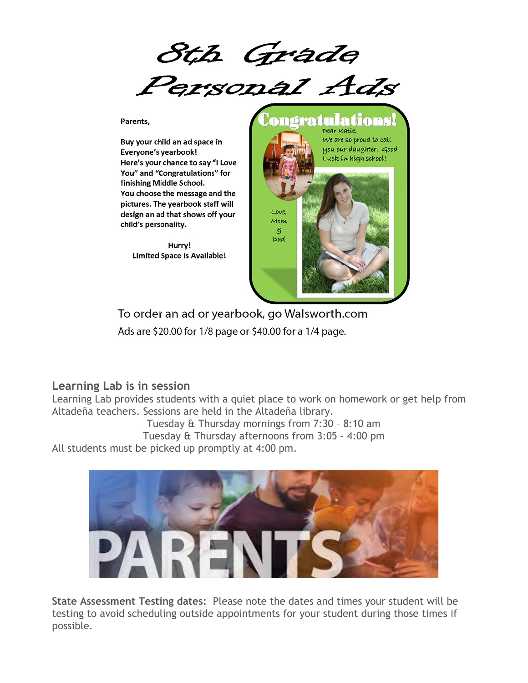Sth Grade<br>Personal Ads

Parents.

Buy your child an ad space in Everyone's yearbook! Here's your chance to say "I Love You" and "Congratulations" for finishing Middle School. You choose the message and the pictures. The yearbook staff will design an ad that shows off your child's personality.

> Hurry! **Limited Space is Available!**



To order an ad or yearbook, go Walsworth.com Ads are \$20.00 for 1/8 page or \$40.00 for a 1/4 page.

#### **Learning Lab is in session**

Learning Lab provides students with a quiet place to work on homework or get help from Altadeña teachers. Sessions are held in the Altadeña library.

Tuesday & Thursday mornings from 7:30 – 8:10 am

Tuesday & Thursday afternoons from 3:05 – 4:00 pm

All students must be picked up promptly at 4:00 pm.



**State Assessment Testing dates:** Please note the dates and times your student will be testing to avoid scheduling outside appointments for your student during those times if possible.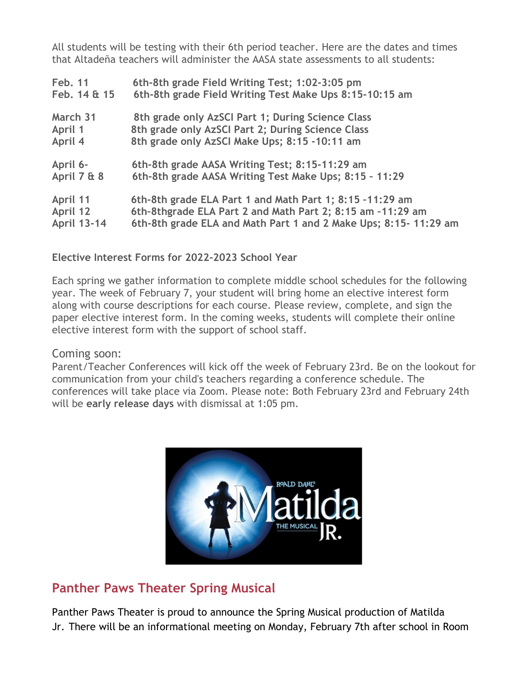All students will be testing with their 6th period teacher. Here are the dates and times that Altadeña teachers will administer the AASA state assessments to all students:

| Feb. 11            | 6th-8th grade Field Writing Test; 1:02-3:05 pm                  |
|--------------------|-----------------------------------------------------------------|
| Feb. 14 & 15       | 6th-8th grade Field Writing Test Make Ups 8:15-10:15 am         |
| March 31           | 8th grade only AzSCI Part 1; During Science Class               |
| April 1            | 8th grade only AzSCI Part 2; During Science Class               |
| April 4            | 8th grade only AzSCI Make Ups; 8:15 -10:11 am                   |
| April 6-           | 6th-8th grade AASA Writing Test; 8:15-11:29 am                  |
| April 7 & 8        | 6th-8th grade AASA Writing Test Make Ups; 8:15 - 11:29          |
| April 11           | 6th-8th grade ELA Part 1 and Math Part 1; 8:15 -11:29 am        |
| April 12           | 6th-8thgrade ELA Part 2 and Math Part 2; 8:15 am -11:29 am      |
| <b>April 13-14</b> | 6th-8th grade ELA and Math Part 1 and 2 Make Ups; 8:15-11:29 am |

**Elective Interest Forms for 2022-2023 School Year**

Each spring we gather information to complete middle school schedules for the following year. The week of February 7, your student will bring home an elective interest form along with course descriptions for each course. Please review, complete, and sign the paper elective interest form. In the coming weeks, students will complete their online elective interest form with the support of school staff.

#### Coming soon:

Parent/Teacher Conferences will kick off the week of February 23rd. Be on the lookout for communication from your child's teachers regarding a conference schedule. The conferences will take place via Zoom. Please note: Both February 23rd and February 24th will be **early release days** with dismissal at 1:05 pm.



## **Panther Paws Theater Spring Musical**

Panther Paws Theater is proud to announce the Spring Musical production of Matilda Jr. There will be an informational meeting on Monday, February 7th after school in Room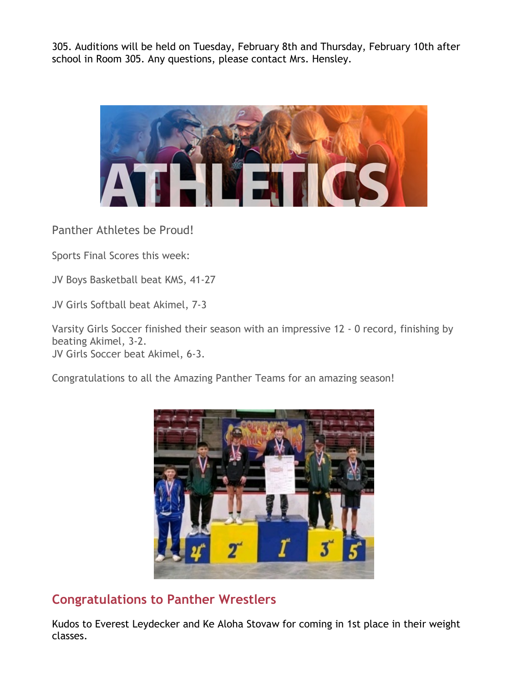305. Auditions will be held on Tuesday, February 8th and Thursday, February 10th after school in Room 305. Any questions, please contact Mrs. Hensley.



Panther Athletes be Proud!

Sports Final Scores this week:

JV Boys Basketball beat KMS, 41-27

JV Girls Softball beat Akimel, 7-3

Varsity Girls Soccer finished their season with an impressive 12 - 0 record, finishing by beating Akimel, 3-2. JV Girls Soccer beat Akimel, 6-3.

Congratulations to all the Amazing Panther Teams for an amazing season!



## **Congratulations to Panther Wrestlers**

Kudos to Everest Leydecker and Ke Aloha Stovaw for coming in 1st place in their weight classes.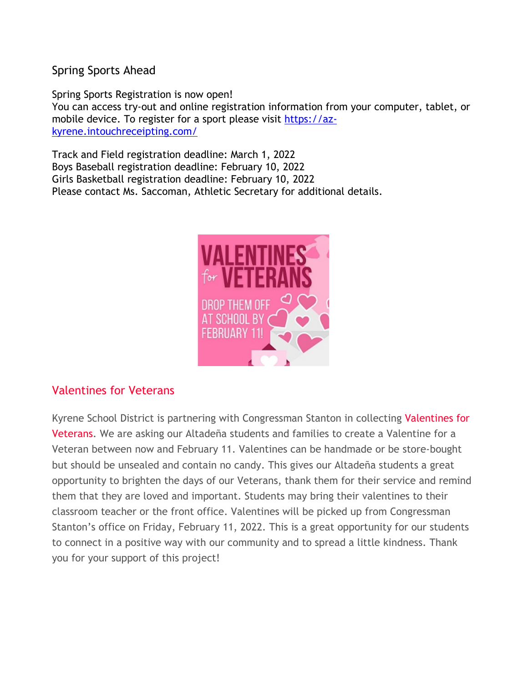Spring Sports Ahead

Spring Sports Registration is now open! You can access try-out and online registration information from your computer, tablet, or mobile device. To register for a sport please visit [https://az](https://az-kyrene.intouchreceipting.com/)[kyrene.intouchreceipting.com/](https://az-kyrene.intouchreceipting.com/)

Track and Field registration deadline: March 1, 2022 Boys Baseball registration deadline: February 10, 2022 Girls Basketball registration deadline: February 10, 2022 Please contact Ms. Saccoman, Athletic Secretary for additional details.



### Valentines for Veterans

Kyrene School District is partnering with Congressman Stanton in collecting Valentines for Veterans. We are asking our Altadeña students and families to create a Valentine for a Veteran between now and February 11. Valentines can be handmade or be store-bought but should be unsealed and contain no candy. This gives our Altadeña students a great opportunity to brighten the days of our Veterans, thank them for their service and remind them that they are loved and important. Students may bring their valentines to their classroom teacher or the front office. Valentines will be picked up from Congressman Stanton's office on Friday, February 11, 2022. This is a great opportunity for our students to connect in a positive way with our community and to spread a little kindness. Thank you for your support of this project!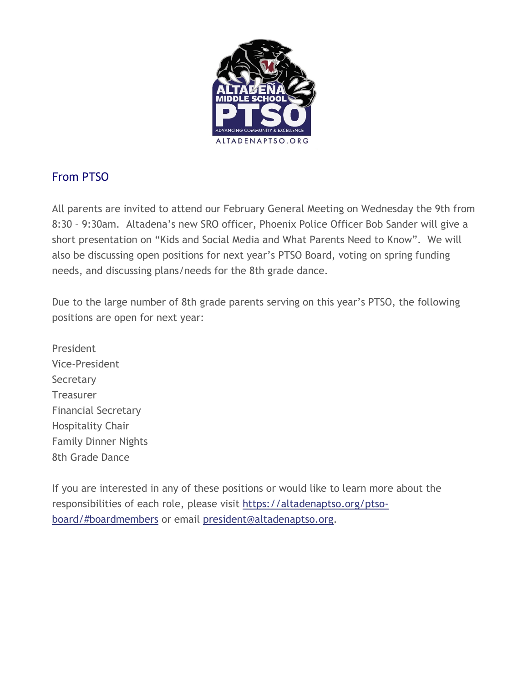

## From PTSO

All parents are invited to attend our February General Meeting on Wednesday the 9th from 8:30 – 9:30am. Altadena's new SRO officer, Phoenix Police Officer Bob Sander will give a short presentation on "Kids and Social Media and What Parents Need to Know". We will also be discussing open positions for next year's PTSO Board, voting on spring funding needs, and discussing plans/needs for the 8th grade dance.

Due to the large number of 8th grade parents serving on this year's PTSO, the following positions are open for next year:

President Vice-President **Secretary Treasurer** Financial Secretary Hospitality Chair Family Dinner Nights 8th Grade Dance

If you are interested in any of these positions or would like to learn more about the responsibilities of each role, please visit [https://altadenaptso.org/ptso](http://track.spe.schoolmessenger.com/f/a/NcvqTIOVGaOVQQyM5hA1Gw%7E%7E/AAAAAQA%7E/RgRj3vDuP0TbaHR0cDovL3RyYWNrLnNwZS5zY2hvb2xtZXNzZW5nZXIuY29tL2YvYS9hbGtNMFVJdXhSOGZGU1U4VU9qcGZBfn4vQUFBQUFRQX4vUmdSajFhZW1QMFF4YUhSMGNITTZMeTloYkhSaFpHVnVZWEIwYzI4dWIzSm5MM0IwYzI4dFltOWhjbVF2STJKdllYSmtiV1Z0WW1WeWMxY0hjMk5vYjI5c2JVSUtZZDhtZFBSaENTNWNoMUlUWTJoeWFYTjBhVzVBZEhkcGJtRjZMbU52YlZnRUFBQUFBUX5-VwdzY2hvb2xtQgph-W69_WFKp4_VUhBzcmF0aEBreXJlbmUub3JnWAQAAAAB)[board/#boardmembers](http://track.spe.schoolmessenger.com/f/a/NcvqTIOVGaOVQQyM5hA1Gw%7E%7E/AAAAAQA%7E/RgRj3vDuP0TbaHR0cDovL3RyYWNrLnNwZS5zY2hvb2xtZXNzZW5nZXIuY29tL2YvYS9hbGtNMFVJdXhSOGZGU1U4VU9qcGZBfn4vQUFBQUFRQX4vUmdSajFhZW1QMFF4YUhSMGNITTZMeTloYkhSaFpHVnVZWEIwYzI4dWIzSm5MM0IwYzI4dFltOWhjbVF2STJKdllYSmtiV1Z0WW1WeWMxY0hjMk5vYjI5c2JVSUtZZDhtZFBSaENTNWNoMUlUWTJoeWFYTjBhVzVBZEhkcGJtRjZMbU52YlZnRUFBQUFBUX5-VwdzY2hvb2xtQgph-W69_WFKp4_VUhBzcmF0aEBreXJlbmUub3JnWAQAAAAB) or email [president@altadenaptso.org.](mailto:president@altadenaptso.org)